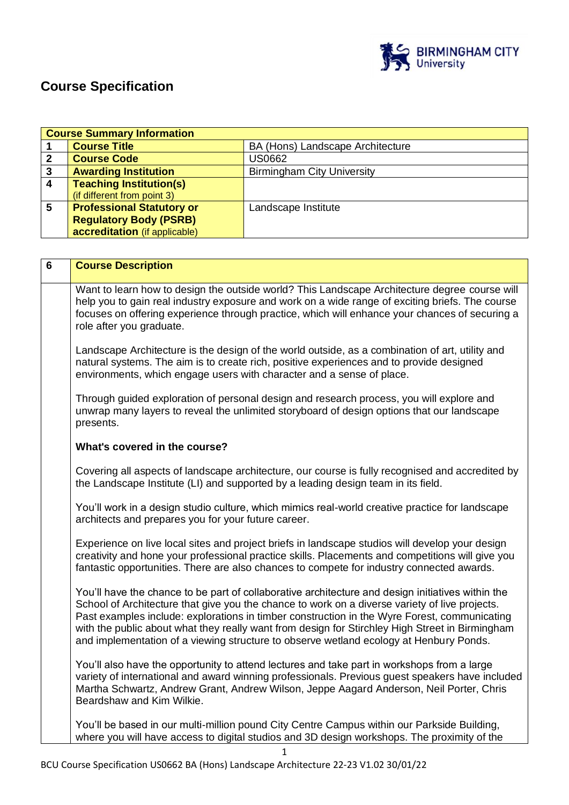

# **Course Specification**

|                         | <b>Course Summary Information</b>                                                                                                                                                                                                                                                                                                                                                                                                                                                                |                                                                                                                                                                                                                                                                                           |  |
|-------------------------|--------------------------------------------------------------------------------------------------------------------------------------------------------------------------------------------------------------------------------------------------------------------------------------------------------------------------------------------------------------------------------------------------------------------------------------------------------------------------------------------------|-------------------------------------------------------------------------------------------------------------------------------------------------------------------------------------------------------------------------------------------------------------------------------------------|--|
| 1                       | <b>Course Title</b>                                                                                                                                                                                                                                                                                                                                                                                                                                                                              | BA (Hons) Landscape Architecture                                                                                                                                                                                                                                                          |  |
| $\mathbf{2}$            | <b>Course Code</b>                                                                                                                                                                                                                                                                                                                                                                                                                                                                               | <b>US0662</b>                                                                                                                                                                                                                                                                             |  |
| $\mathbf{3}$            | <b>Awarding Institution</b>                                                                                                                                                                                                                                                                                                                                                                                                                                                                      | <b>Birmingham City University</b>                                                                                                                                                                                                                                                         |  |
| $\overline{\mathbf{4}}$ | <b>Teaching Institution(s)</b>                                                                                                                                                                                                                                                                                                                                                                                                                                                                   |                                                                                                                                                                                                                                                                                           |  |
|                         | (if different from point 3)                                                                                                                                                                                                                                                                                                                                                                                                                                                                      |                                                                                                                                                                                                                                                                                           |  |
| 5                       | <b>Professional Statutory or</b>                                                                                                                                                                                                                                                                                                                                                                                                                                                                 | Landscape Institute                                                                                                                                                                                                                                                                       |  |
|                         | <b>Regulatory Body (PSRB)</b>                                                                                                                                                                                                                                                                                                                                                                                                                                                                    |                                                                                                                                                                                                                                                                                           |  |
|                         | accreditation (if applicable)                                                                                                                                                                                                                                                                                                                                                                                                                                                                    |                                                                                                                                                                                                                                                                                           |  |
|                         |                                                                                                                                                                                                                                                                                                                                                                                                                                                                                                  |                                                                                                                                                                                                                                                                                           |  |
|                         |                                                                                                                                                                                                                                                                                                                                                                                                                                                                                                  |                                                                                                                                                                                                                                                                                           |  |
| 6                       | <b>Course Description</b>                                                                                                                                                                                                                                                                                                                                                                                                                                                                        |                                                                                                                                                                                                                                                                                           |  |
|                         | Want to learn how to design the outside world? This Landscape Architecture degree course will<br>help you to gain real industry exposure and work on a wide range of exciting briefs. The course<br>focuses on offering experience through practice, which will enhance your chances of securing a<br>role after you graduate.                                                                                                                                                                   |                                                                                                                                                                                                                                                                                           |  |
|                         | Landscape Architecture is the design of the world outside, as a combination of art, utility and<br>natural systems. The aim is to create rich, positive experiences and to provide designed<br>environments, which engage users with character and a sense of place.                                                                                                                                                                                                                             |                                                                                                                                                                                                                                                                                           |  |
|                         | Through guided exploration of personal design and research process, you will explore and<br>unwrap many layers to reveal the unlimited storyboard of design options that our landscape<br>presents.                                                                                                                                                                                                                                                                                              |                                                                                                                                                                                                                                                                                           |  |
|                         | What's covered in the course?                                                                                                                                                                                                                                                                                                                                                                                                                                                                    |                                                                                                                                                                                                                                                                                           |  |
|                         | Covering all aspects of landscape architecture, our course is fully recognised and accredited by<br>the Landscape Institute (LI) and supported by a leading design team in its field.                                                                                                                                                                                                                                                                                                            |                                                                                                                                                                                                                                                                                           |  |
|                         | You'll work in a design studio culture, which mimics real-world creative practice for landscape<br>architects and prepares you for your future career.                                                                                                                                                                                                                                                                                                                                           |                                                                                                                                                                                                                                                                                           |  |
|                         | Experience on live local sites and project briefs in landscape studios will develop your design<br>creativity and hone your professional practice skills. Placements and competitions will give you<br>fantastic opportunities. There are also chances to compete for industry connected awards.                                                                                                                                                                                                 |                                                                                                                                                                                                                                                                                           |  |
|                         | You'll have the chance to be part of collaborative architecture and design initiatives within the<br>School of Architecture that give you the chance to work on a diverse variety of live projects.<br>Past examples include: explorations in timber construction in the Wyre Forest, communicating<br>with the public about what they really want from design for Stirchley High Street in Birmingham<br>and implementation of a viewing structure to observe wetland ecology at Henbury Ponds. |                                                                                                                                                                                                                                                                                           |  |
|                         | Beardshaw and Kim Wilkie.                                                                                                                                                                                                                                                                                                                                                                                                                                                                        | You'll also have the opportunity to attend lectures and take part in workshops from a large<br>variety of international and award winning professionals. Previous guest speakers have included<br>Martha Schwartz, Andrew Grant, Andrew Wilson, Jeppe Aagard Anderson, Neil Porter, Chris |  |
|                         |                                                                                                                                                                                                                                                                                                                                                                                                                                                                                                  | You'll be based in our multi-million pound City Centre Campus within our Parkside Building,<br>where you will have access to digital studios and 3D design workshops. The proximity of the                                                                                                |  |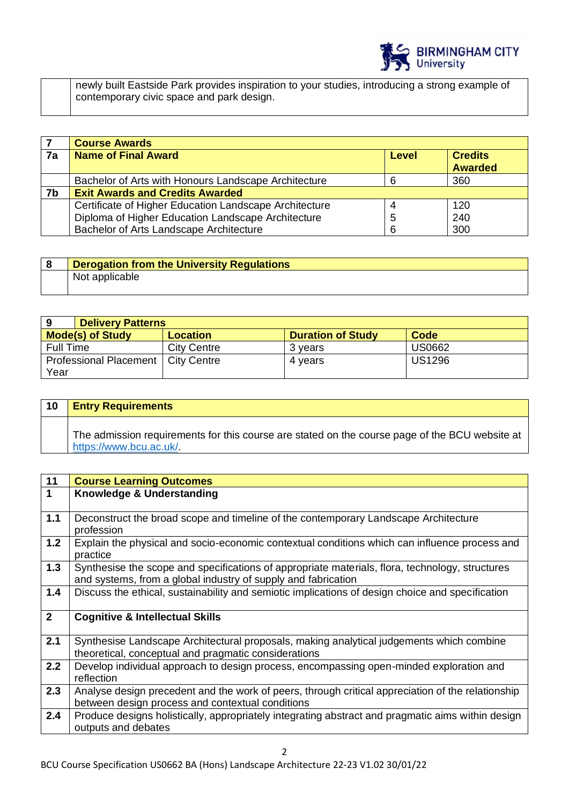

newly built Eastside Park provides inspiration to your studies, introducing a strong example of contemporary civic space and park design.

|    | <b>Course Awards</b>                                   |              |                                  |
|----|--------------------------------------------------------|--------------|----------------------------------|
| 7a | <b>Name of Final Award</b>                             | <b>Level</b> | <b>Credits</b><br><b>Awarded</b> |
|    |                                                        |              |                                  |
|    | Bachelor of Arts with Honours Landscape Architecture   | 6            | 360                              |
| 7b | <b>Exit Awards and Credits Awarded</b>                 |              |                                  |
|    | Certificate of Higher Education Landscape Architecture |              | 120                              |
|    | Diploma of Higher Education Landscape Architecture     | 5            | 240                              |
|    | Bachelor of Arts Landscape Architecture                | 6            | 300                              |

| <b>Derogation from the University Regulations</b> |
|---------------------------------------------------|
| Not applicable                                    |

| 9                       | <b>Delivery Patterns</b>             |                    |                          |               |
|-------------------------|--------------------------------------|--------------------|--------------------------|---------------|
| <b>Mode(s) of Study</b> |                                      | <b>Location</b>    | <b>Duration of Study</b> | Code          |
| <b>Full Time</b>        |                                      | <b>City Centre</b> | 3 years                  | <b>US0662</b> |
|                         | Professional Placement   City Centre |                    | 4 years                  | <b>US1296</b> |
| Year                    |                                      |                    |                          |               |

| 10 | <b>Entry Requirements</b>                                                                                                 |
|----|---------------------------------------------------------------------------------------------------------------------------|
|    | The admission requirements for this course are stated on the course page of the BCU website at<br>https://www.bcu.ac.uk/. |

| 11             | <b>Course Learning Outcomes</b>                                                                                          |
|----------------|--------------------------------------------------------------------------------------------------------------------------|
| $\mathbf 1$    | Knowledge & Understanding                                                                                                |
|                |                                                                                                                          |
| $1.1$          | Deconstruct the broad scope and timeline of the contemporary Landscape Architecture                                      |
|                | profession                                                                                                               |
| $1.2$          | Explain the physical and socio-economic contextual conditions which can influence process and                            |
|                | practice                                                                                                                 |
| 1.3            | Synthesise the scope and specifications of appropriate materials, flora, technology, structures                          |
|                | and systems, from a global industry of supply and fabrication                                                            |
| 1.4            | Discuss the ethical, sustainability and semiotic implications of design choice and specification                         |
|                |                                                                                                                          |
|                |                                                                                                                          |
| $\overline{2}$ | <b>Cognitive &amp; Intellectual Skills</b>                                                                               |
|                |                                                                                                                          |
| 2.1            | Synthesise Landscape Architectural proposals, making analytical judgements which combine                                 |
|                | theoretical, conceptual and pragmatic considerations                                                                     |
| 2.2            | Develop individual approach to design process, encompassing open-minded exploration and                                  |
|                | reflection                                                                                                               |
| 2.3            | Analyse design precedent and the work of peers, through critical appreciation of the relationship                        |
|                | between design process and contextual conditions                                                                         |
| 2.4            |                                                                                                                          |
|                | Produce designs holistically, appropriately integrating abstract and pragmatic aims within design<br>outputs and debates |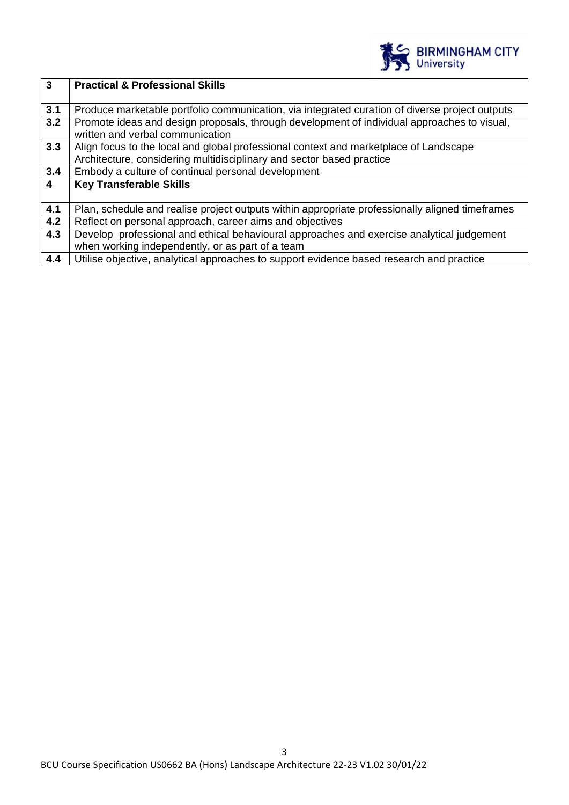

| $\mathbf{3}$            | <b>Practical &amp; Professional Skills</b>                                                      |  |
|-------------------------|-------------------------------------------------------------------------------------------------|--|
|                         |                                                                                                 |  |
| 3.1                     | Produce marketable portfolio communication, via integrated curation of diverse project outputs  |  |
| 3.2                     | Promote ideas and design proposals, through development of individual approaches to visual,     |  |
|                         | written and verbal communication                                                                |  |
| 3.3                     | Align focus to the local and global professional context and marketplace of Landscape           |  |
|                         | Architecture, considering multidisciplinary and sector based practice                           |  |
| 3.4                     | Embody a culture of continual personal development                                              |  |
| $\overline{\mathbf{4}}$ | <b>Key Transferable Skills</b>                                                                  |  |
|                         |                                                                                                 |  |
| 4.1                     | Plan, schedule and realise project outputs within appropriate professionally aligned timeframes |  |
| 4.2                     | Reflect on personal approach, career aims and objectives                                        |  |
| 4.3                     | Develop professional and ethical behavioural approaches and exercise analytical judgement       |  |
|                         | when working independently, or as part of a team                                                |  |
| 4.4                     | Utilise objective, analytical approaches to support evidence based research and practice        |  |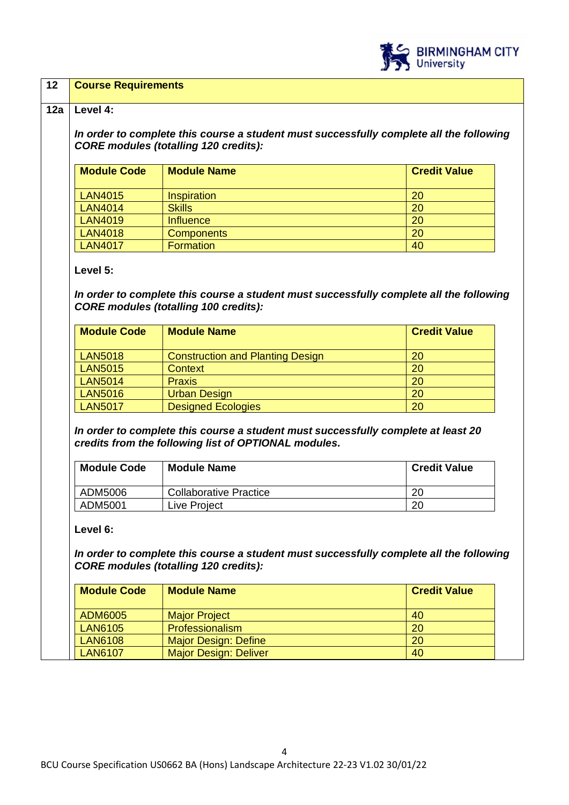

#### **12 Course Requirements**

#### **12a Level 4:**

*In order to complete this course a student must successfully complete all the following CORE modules (totalling 120 credits):*

| <b>Module Code</b> | <b>Module Name</b> | <b>Credit Value</b> |
|--------------------|--------------------|---------------------|
| <b>LAN4015</b>     | <b>Inspiration</b> | 20                  |
| <b>LAN4014</b>     | <b>Skills</b>      | 20                  |
| <b>LAN4019</b>     | Influence          | 20                  |
| <b>LAN4018</b>     | <b>Components</b>  | 20                  |
| <b>LAN4017</b>     | <b>Formation</b>   | 40                  |

#### **Level 5:**

*In order to complete this course a student must successfully complete all the following CORE modules (totalling 100 credits):*

| <b>Module Code</b> | <b>Module Name</b>                      | <b>Credit Value</b> |
|--------------------|-----------------------------------------|---------------------|
| <b>LAN5018</b>     | <b>Construction and Planting Design</b> | 20                  |
| <b>LAN5015</b>     | Context                                 | 20                  |
| <b>LAN5014</b>     | <b>Praxis</b>                           | 20                  |
| <b>LAN5016</b>     | <b>Urban Design</b>                     | 20                  |
| <b>LAN5017</b>     | <b>Designed Ecologies</b>               | 20                  |

*In order to complete this course a student must successfully complete at least 20 credits from the following list of OPTIONAL modules.* 

| <b>Module Code</b> | <b>Module Name</b>            | <b>Credit Value</b> |
|--------------------|-------------------------------|---------------------|
| ADM5006            | <b>Collaborative Practice</b> | 20                  |
| ADM5001            | Live Project                  | 20                  |

#### **Level 6:**

*In order to complete this course a student must successfully complete all the following CORE modules (totalling 120 credits):*

| <b>Module Code</b> | <b>Module Name</b>           | <b>Credit Value</b> |
|--------------------|------------------------------|---------------------|
| ADM6005            | <b>Major Project</b>         | 40                  |
| <b>LAN6105</b>     | <b>Professionalism</b>       | 20                  |
| <b>LAN6108</b>     | <b>Major Design: Define</b>  | 20                  |
| <b>LAN6107</b>     | <b>Major Design: Deliver</b> | 40                  |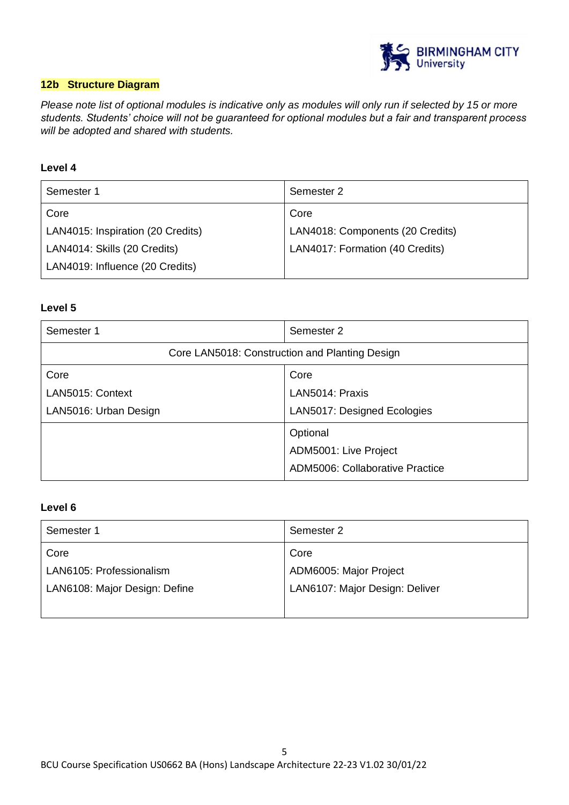

## **12b Structure Diagram**

*Please note list of optional modules is indicative only as modules will only run if selected by 15 or more students. Students' choice will not be guaranteed for optional modules but a fair and transparent process will be adopted and shared with students.* 

## **Level 4**

| Semester 1                        | Semester 2                       |
|-----------------------------------|----------------------------------|
| Core                              | Core                             |
| LAN4015: Inspiration (20 Credits) | LAN4018: Components (20 Credits) |
| LAN4014: Skills (20 Credits)      | LAN4017: Formation (40 Credits)  |
| LAN4019: Influence (20 Credits)   |                                  |

#### **Level 5**

| Semester 1                                     | Semester 2                      |
|------------------------------------------------|---------------------------------|
| Core LAN5018: Construction and Planting Design |                                 |
| Core                                           | Core                            |
| LAN5015: Context                               | LAN5014: Praxis                 |
| LAN5016: Urban Design                          | LAN5017: Designed Ecologies     |
|                                                | Optional                        |
|                                                | ADM5001: Live Project           |
|                                                | ADM5006: Collaborative Practice |

#### **Level 6**

| Semester 1                    | Semester 2                     |
|-------------------------------|--------------------------------|
| Core                          | Core                           |
| LAN6105: Professionalism      | ADM6005: Major Project         |
| LAN6108: Major Design: Define | LAN6107: Major Design: Deliver |
|                               |                                |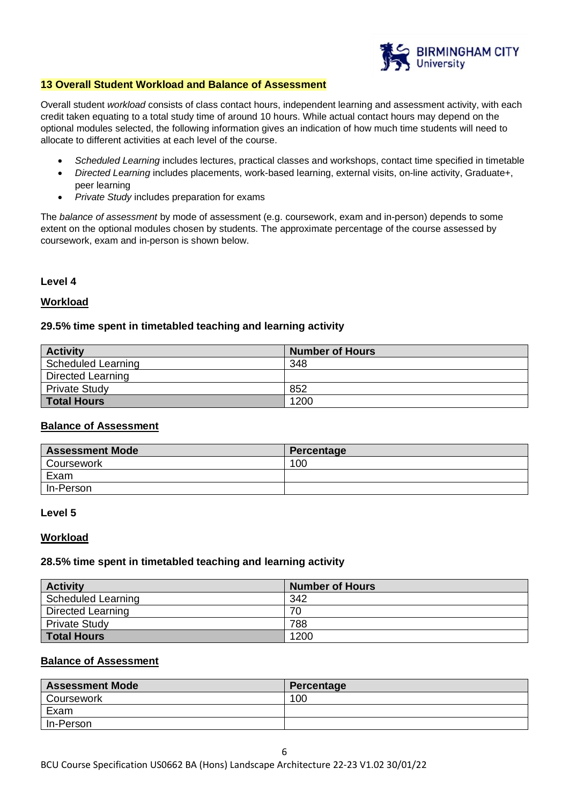

#### **13 Overall Student Workload and Balance of Assessment**

Overall student *workload* consists of class contact hours, independent learning and assessment activity, with each credit taken equating to a total study time of around 10 hours. While actual contact hours may depend on the optional modules selected, the following information gives an indication of how much time students will need to allocate to different activities at each level of the course.

- *Scheduled Learning* includes lectures, practical classes and workshops, contact time specified in timetable
- *Directed Learning* includes placements, work-based learning, external visits, on-line activity, Graduate+, peer learning
- *Private Study* includes preparation for exams

The *balance of assessment* by mode of assessment (e.g. coursework, exam and in-person) depends to some extent on the optional modules chosen by students. The approximate percentage of the course assessed by coursework, exam and in-person is shown below.

#### **Level 4**

#### **Workload**

#### **29.5% time spent in timetabled teaching and learning activity**

| <b>Activity</b>          | <b>Number of Hours</b> |
|--------------------------|------------------------|
| Scheduled Learning       | 348                    |
| <b>Directed Learning</b> |                        |
| <b>Private Study</b>     | 852                    |
| <b>Total Hours</b>       | 1200                   |

#### **Balance of Assessment**

| <b>Assessment Mode</b> | Percentage |
|------------------------|------------|
| Coursework             | 100        |
| Exam                   |            |
| In-Person              |            |

#### **Level 5**

#### **Workload**

#### **28.5% time spent in timetabled teaching and learning activity**

| <b>Activity</b>          | <b>Number of Hours</b> |
|--------------------------|------------------------|
| Scheduled Learning       | 342                    |
| <b>Directed Learning</b> | 70                     |
| <b>Private Study</b>     | 788                    |
| <b>Total Hours</b>       | 1200                   |

### **Balance of Assessment**

| <b>Assessment Mode</b> | Percentage |
|------------------------|------------|
| Coursework             | 100        |
| Exam                   |            |
| In-Person              |            |